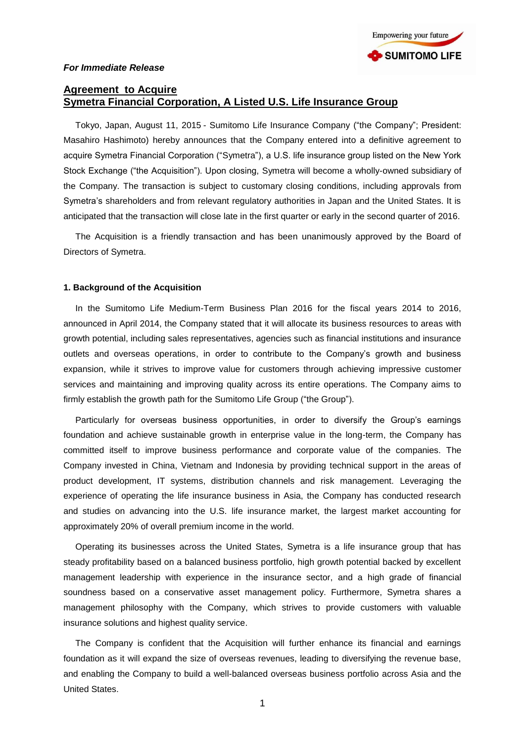

# **Agreement to Acquire Symetra Financial Corporation, A Listed U.S. Life Insurance Group**

Tokyo, Japan, August 11, 2015 - Sumitomo Life Insurance Company ("the Company"; President: Masahiro Hashimoto) hereby announces that the Company entered into a definitive agreement to acquire Symetra Financial Corporation ("Symetra"), a U.S. life insurance group listed on the New York Stock Exchange ("the Acquisition"). Upon closing, Symetra will become a wholly-owned subsidiary of the Company. The transaction is subject to customary closing conditions, including approvals from Symetra's shareholders and from relevant regulatory authorities in Japan and the United States. It is anticipated that the transaction will close late in the first quarter or early in the second quarter of 2016.

The Acquisition is a friendly transaction and has been unanimously approved by the Board of Directors of Symetra.

## **1. Background of the Acquisition**

In the Sumitomo Life Medium-Term Business Plan 2016 for the fiscal years 2014 to 2016, announced in April 2014, the Company stated that it will allocate its business resources to areas with growth potential, including sales representatives, agencies such as financial institutions and insurance outlets and overseas operations, in order to contribute to the Company's growth and business expansion, while it strives to improve value for customers through achieving impressive customer services and maintaining and improving quality across its entire operations. The Company aims to firmly establish the growth path for the Sumitomo Life Group ("the Group").

Particularly for overseas business opportunities, in order to diversify the Group's earnings foundation and achieve sustainable growth in enterprise value in the long-term, the Company has committed itself to improve business performance and corporate value of the companies. The Company invested in China, Vietnam and Indonesia by providing technical support in the areas of product development, IT systems, distribution channels and risk management. Leveraging the experience of operating the life insurance business in Asia, the Company has conducted research and studies on advancing into the U.S. life insurance market, the largest market accounting for approximately 20% of overall premium income in the world.

Operating its businesses across the United States, Symetra is a life insurance group that has steady profitability based on a balanced business portfolio, high growth potential backed by excellent management leadership with experience in the insurance sector, and a high grade of financial soundness based on a conservative asset management policy. Furthermore, Symetra shares a management philosophy with the Company, which strives to provide customers with valuable insurance solutions and highest quality service.

The Company is confident that the Acquisition will further enhance its financial and earnings foundation as it will expand the size of overseas revenues, leading to diversifying the revenue base, and enabling the Company to build a well-balanced overseas business portfolio across Asia and the United States.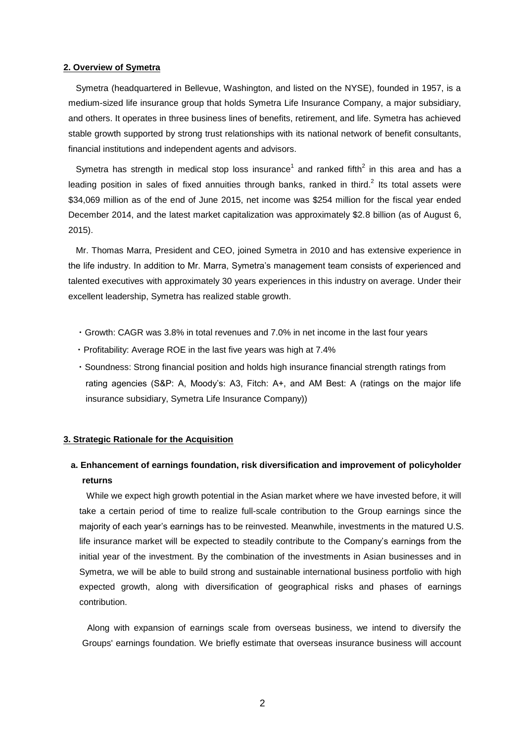#### **2. Overview of Symetra**

Symetra (headquartered in Bellevue, Washington, and listed on the NYSE), founded in 1957, is a medium-sized life insurance group that holds Symetra Life Insurance Company, a major subsidiary, and others. It operates in three business lines of benefits, retirement, and life. Symetra has achieved stable growth supported by strong trust relationships with its national network of benefit consultants, financial institutions and independent agents and advisors.

Symetra has strength in medical stop loss insurance<sup>1</sup> and ranked fifth<sup>2</sup> in this area and has a leading position in sales of fixed annuities through banks, ranked in third.<sup>2</sup> Its total assets were \$34,069 million as of the end of June 2015, net income was \$254 million for the fiscal year ended December 2014, and the latest market capitalization was approximately \$2.8 billion (as of August 6, 2015).

Mr. Thomas Marra, President and CEO, joined Symetra in 2010 and has extensive experience in the life industry. In addition to Mr. Marra, Symetra's management team consists of experienced and talented executives with approximately 30 years experiences in this industry on average. Under their excellent leadership, Symetra has realized stable growth.

- ・Growth: CAGR was 3.8% in total revenues and 7.0% in net income in the last four years
- ・Profitability: Average ROE in the last five years was high at 7.4%
- ・Soundness: Strong financial position and holds high insurance financial strength ratings from rating agencies (S&P: A, Moody's: A3, Fitch: A+, and AM Best: A (ratings on the major life insurance subsidiary, Symetra Life Insurance Company))

#### **3. Strategic Rationale for the Acquisition**

# **a. Enhancement of earnings foundation, risk diversification and improvement of policyholder returns**

 While we expect high growth potential in the Asian market where we have invested before, it will take a certain period of time to realize full-scale contribution to the Group earnings since the majority of each year's earnings has to be reinvested. Meanwhile, investments in the matured U.S. life insurance market will be expected to steadily contribute to the Company's earnings from the initial year of the investment. By the combination of the investments in Asian businesses and in Symetra, we will be able to build strong and sustainable international business portfolio with high expected growth, along with diversification of geographical risks and phases of earnings contribution.

Along with expansion of earnings scale from overseas business, we intend to diversify the Groups' earnings foundation. We briefly estimate that overseas insurance business will account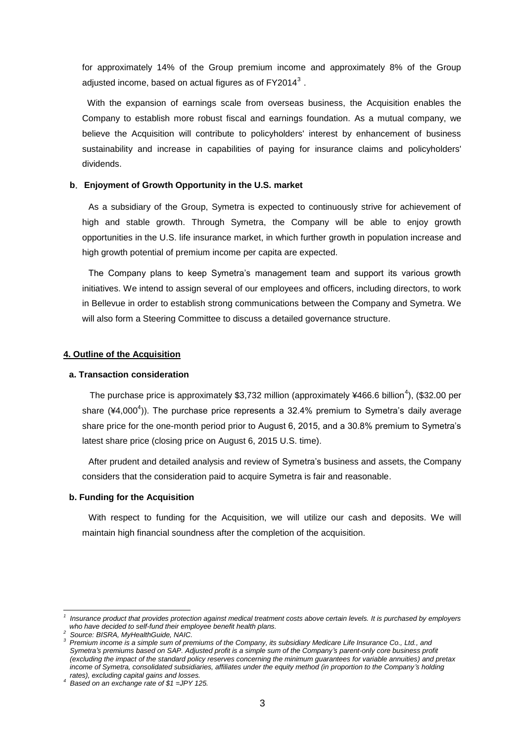for approximately 14% of the Group premium income and approximately 8% of the Group adjusted income, based on actual figures as of FY2014 $^3$  .

With the expansion of earnings scale from overseas business, the Acquisition enables the Company to establish more robust fiscal and earnings foundation. As a mutual company, we believe the Acquisition will contribute to policyholders' interest by enhancement of business sustainability and increase in capabilities of paying for insurance claims and policyholders' dividends.

#### **b**.**Enjoyment of Growth Opportunity in the U.S. market**

As a subsidiary of the Group, Symetra is expected to continuously strive for achievement of high and stable growth. Through Symetra, the Company will be able to enjoy growth opportunities in the U.S. life insurance market, in which further growth in population increase and high growth potential of premium income per capita are expected.

The Company plans to keep Symetra's management team and support its various growth initiatives. We intend to assign several of our employees and officers, including directors, to work in Bellevue in order to establish strong communications between the Company and Symetra. We will also form a Steering Committee to discuss a detailed governance structure.

## **4. Outline of the Acquisition**

#### **a. Transaction consideration**

The purchase price is approximately \$3,732 million (approximately ¥466.6 billion<sup>4</sup>), (\$32.00 per share  $(44,000^4)$ ). The purchase price represents a 32.4% premium to Symetra's daily average share price for the one-month period prior to August 6, 2015, and a 30.8% premium to Symetra's latest share price (closing price on August 6, 2015 U.S. time).

After prudent and detailed analysis and review of Symetra's business and assets, the Company considers that the consideration paid to acquire Symetra is fair and reasonable.

#### **b. Funding for the Acquisition**

With respect to funding for the Acquisition, we will utilize our cash and deposits. We will maintain high financial soundness after the completion of the acquisition.

-

*<sup>1</sup> Insurance product that provides protection against medical treatment costs above certain levels. It is purchased by employers who have decided to self-fund their employee benefit health plans.*

*<sup>2</sup> Source: BISRA, MyHealthGuide, NAIC.*

*<sup>3</sup>Premium income is a simple sum of premiums of the Company, its subsidiary Medicare Life Insurance Co., Ltd., and Symetra's premiums based on SAP. Adjusted profit is a simple sum of the Company's parent-only core business profit (excluding the impact of the standard policy reserves concerning the minimum guarantees for variable annuities) and pretax income of Symetra, consolidated subsidiaries, affiliates under the equity method (in proportion to the Company's holding rates), excluding capital gains and losses.*

*<sup>4</sup> Based on an exchange rate of \$1 =JPY 125.*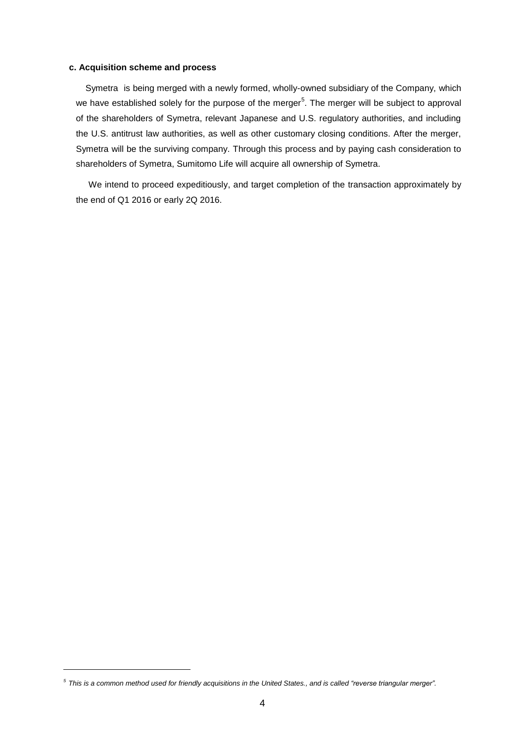## **c. Acquisition scheme and process**

Symetra is being merged with a newly formed, wholly-owned subsidiary of the Company, which we have established solely for the purpose of the merger<sup>5</sup>. The merger will be subject to approval of the shareholders of Symetra, relevant Japanese and U.S. regulatory authorities, and including the U.S. antitrust law authorities, as well as other customary closing conditions. After the merger, Symetra will be the surviving company. Through this process and by paying cash consideration to shareholders of Symetra, Sumitomo Life will acquire all ownership of Symetra.

We intend to proceed expeditiously, and target completion of the transaction approximately by the end of Q1 2016 or early 2Q 2016.

-

*<sup>5</sup>This is a common method used for friendly acquisitions in the United States., and is called "reverse triangular merger".*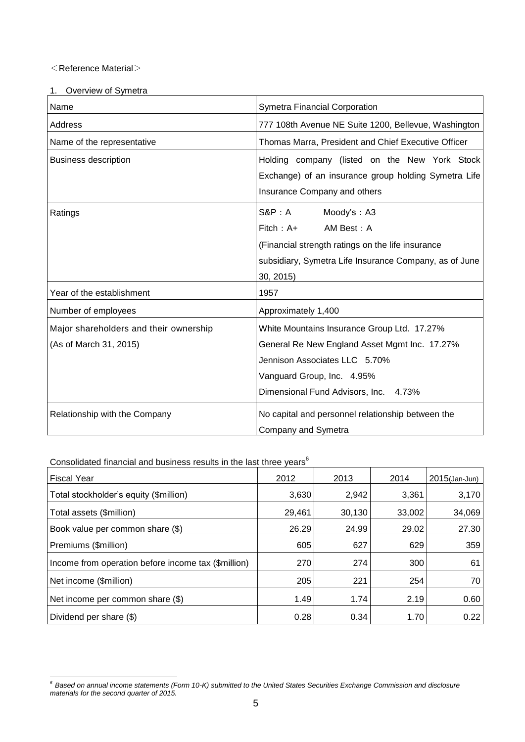# $<$ Reference Material $>$

| 1. | Overview of Symetra |
|----|---------------------|
|    |                     |

| Name                                                             | Symetra Financial Corporation                                                                                                                                                                        |  |  |  |
|------------------------------------------------------------------|------------------------------------------------------------------------------------------------------------------------------------------------------------------------------------------------------|--|--|--|
| <b>Address</b>                                                   | 777 108th Avenue NE Suite 1200, Bellevue, Washington                                                                                                                                                 |  |  |  |
| Name of the representative                                       | Thomas Marra, President and Chief Executive Officer                                                                                                                                                  |  |  |  |
| <b>Business description</b>                                      | Holding company (listed on the New York Stock<br>Exchange) of an insurance group holding Symetra Life<br>Insurance Company and others                                                                |  |  |  |
| Ratings                                                          | $S\&P:A$<br>Moody's: A3<br>$Fitch : A+$<br>AM Best: A<br>(Financial strength ratings on the life insurance<br>subsidiary, Symetra Life Insurance Company, as of June<br>30, 2015)                    |  |  |  |
| Year of the establishment                                        | 1957                                                                                                                                                                                                 |  |  |  |
| Number of employees                                              | Approximately 1,400                                                                                                                                                                                  |  |  |  |
| Major shareholders and their ownership<br>(As of March 31, 2015) | White Mountains Insurance Group Ltd. 17.27%<br>General Re New England Asset Mgmt Inc. 17.27%<br>Jennison Associates LLC 5.70%<br>Vanguard Group, Inc. 4.95%<br>Dimensional Fund Advisors, Inc. 4.73% |  |  |  |
| Relationship with the Company                                    | No capital and personnel relationship between the<br>Company and Symetra                                                                                                                             |  |  |  |

Consolidated financial and business results in the last three years<sup>6</sup>

| <b>Fiscal Year</b>                                  | 2012   | 2013   | 2014   | 2015(Jan-Jun) |
|-----------------------------------------------------|--------|--------|--------|---------------|
| Total stockholder's equity (\$million)              | 3,630  | 2,942  | 3,361  | 3,170         |
| Total assets (\$million)                            | 29,461 | 30,130 | 33,002 | 34,069        |
| Book value per common share (\$)                    | 26.29  | 24.99  | 29.02  | 27.30         |
| Premiums (\$million)                                | 605    | 627    | 629    | 359           |
| Income from operation before income tax (\$million) | 270    | 274    | 300    | 61            |
| Net income (\$million)                              | 205    | 221    | 254    | 70            |
| Net income per common share (\$)                    | 1.49   | 1.74   | 2.19   | 0.60          |
| Dividend per share (\$)                             | 0.28   | 0.34   | 1.70   | 0.22          |

<sup>-</sup>*<sup>6</sup>Based on annual income statements (Form 10-K) submitted to the United States Securities Exchange Commission and disclosure materials for the second quarter of 2015.*